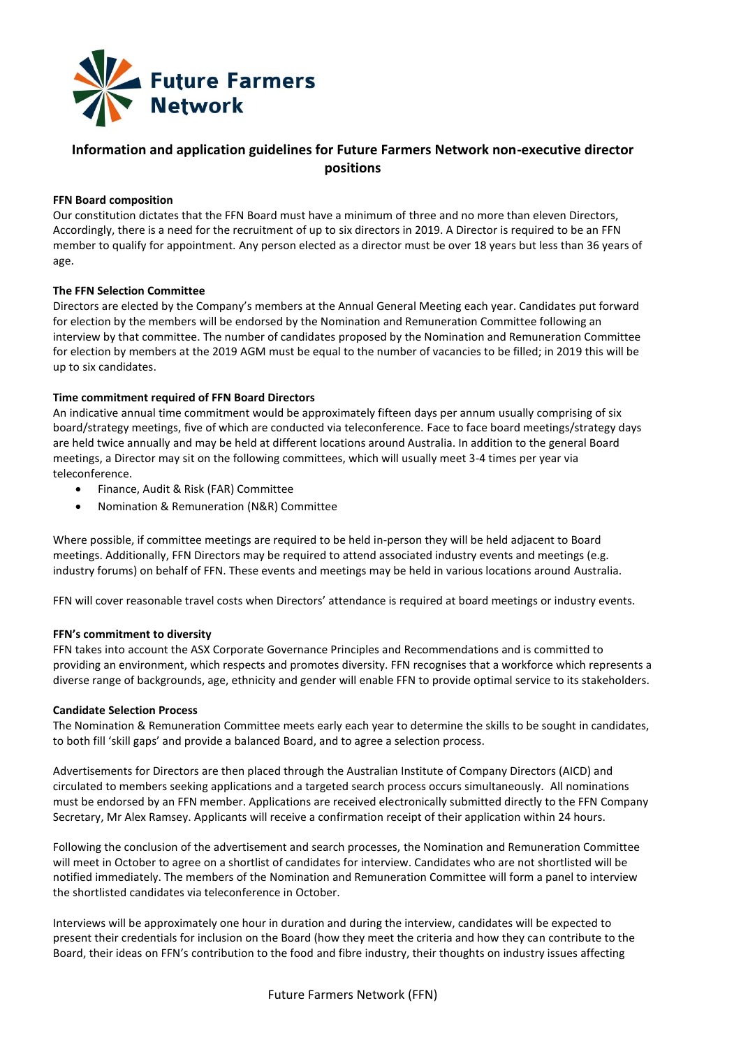

# **Information and application guidelines for Future Farmers Network non-executive director positions**

## **FFN Board composition**

Our constitution dictates that the FFN Board must have a minimum of three and no more than eleven Directors, Accordingly, there is a need for the recruitment of up to six directors in 2019. A Director is required to be an FFN member to qualify for appointment. Any person elected as a director must be over 18 years but less than 36 years of age.

### **The FFN Selection Committee**

Directors are elected by the Company's members at the Annual General Meeting each year. Candidates put forward for election by the members will be endorsed by the Nomination and Remuneration Committee following an interview by that committee. The number of candidates proposed by the Nomination and Remuneration Committee for election by members at the 2019 AGM must be equal to the number of vacancies to be filled; in 2019 this will be up to six candidates.

### **Time commitment required of FFN Board Directors**

An indicative annual time commitment would be approximately fifteen days per annum usually comprising of six board/strategy meetings, five of which are conducted via teleconference. Face to face board meetings/strategy days are held twice annually and may be held at different locations around Australia. In addition to the general Board meetings, a Director may sit on the following committees, which will usually meet 3-4 times per year via teleconference.

- Finance, Audit & Risk (FAR) Committee
- Nomination & Remuneration (N&R) Committee

Where possible, if committee meetings are required to be held in-person they will be held adjacent to Board meetings. Additionally, FFN Directors may be required to attend associated industry events and meetings (e.g. industry forums) on behalf of FFN. These events and meetings may be held in various locations around Australia.

FFN will cover reasonable travel costs when Directors' attendance is required at board meetings or industry events.

### **FFN's commitment to diversity**

FFN takes into account the ASX Corporate Governance Principles and Recommendations and is committed to providing an environment, which respects and promotes diversity. FFN recognises that a workforce which represents a diverse range of backgrounds, age, ethnicity and gender will enable FFN to provide optimal service to its stakeholders.

### **Candidate Selection Process**

The Nomination & Remuneration Committee meets early each year to determine the skills to be sought in candidates, to both fill 'skill gaps' and provide a balanced Board, and to agree a selection process.

Advertisements for Directors are then placed through the Australian Institute of Company Directors (AICD) and circulated to members seeking applications and a targeted search process occurs simultaneously. All nominations must be endorsed by an FFN member. Applications are received electronically submitted directly to the FFN Company Secretary, Mr Alex Ramsey. Applicants will receive a confirmation receipt of their application within 24 hours.

Following the conclusion of the advertisement and search processes, the Nomination and Remuneration Committee will meet in October to agree on a shortlist of candidates for interview. Candidates who are not shortlisted will be notified immediately. The members of the Nomination and Remuneration Committee will form a panel to interview the shortlisted candidates via teleconference in October.

Interviews will be approximately one hour in duration and during the interview, candidates will be expected to present their credentials for inclusion on the Board (how they meet the criteria and how they can contribute to the Board, their ideas on FFN's contribution to the food and fibre industry, their thoughts on industry issues affecting